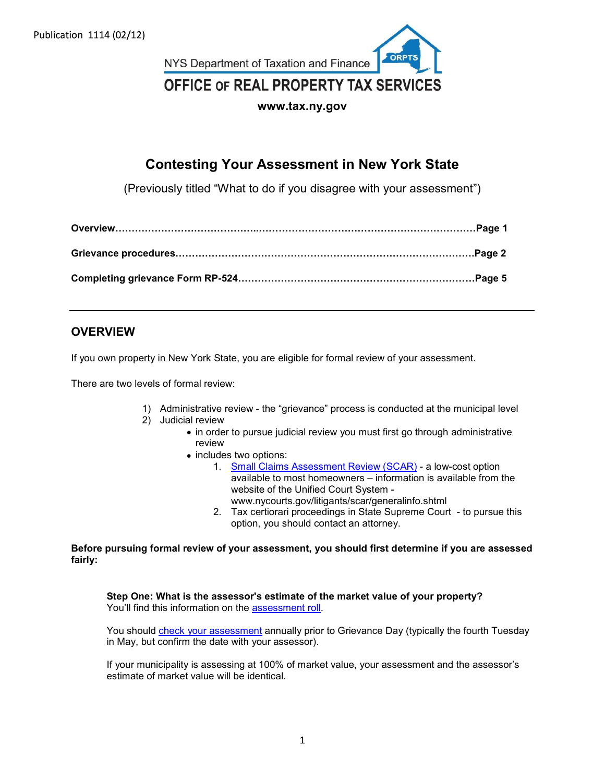Publication 1114 (02/12)



# Contesting Your Assessment in New York State

|                                        | www.tax.ny.gov                                                                                                                                                                                                                                                                                                                                                                                                                                                                                                                                                                     |
|----------------------------------------|------------------------------------------------------------------------------------------------------------------------------------------------------------------------------------------------------------------------------------------------------------------------------------------------------------------------------------------------------------------------------------------------------------------------------------------------------------------------------------------------------------------------------------------------------------------------------------|
|                                        | <b>Contesting Your Assessment in New York State</b>                                                                                                                                                                                                                                                                                                                                                                                                                                                                                                                                |
|                                        | (Previously titled "What to do if you disagree with your assessment")                                                                                                                                                                                                                                                                                                                                                                                                                                                                                                              |
|                                        |                                                                                                                                                                                                                                                                                                                                                                                                                                                                                                                                                                                    |
|                                        |                                                                                                                                                                                                                                                                                                                                                                                                                                                                                                                                                                                    |
|                                        |                                                                                                                                                                                                                                                                                                                                                                                                                                                                                                                                                                                    |
| <b>OVERVIEW</b>                        |                                                                                                                                                                                                                                                                                                                                                                                                                                                                                                                                                                                    |
|                                        | If you own property in New York State, you are eligible for formal review of your assessment.                                                                                                                                                                                                                                                                                                                                                                                                                                                                                      |
| There are two levels of formal review: |                                                                                                                                                                                                                                                                                                                                                                                                                                                                                                                                                                                    |
| 1)<br>2)                               | Administrative review - the "grievance" process is conducted at the municipal level<br>Judicial review<br>• in order to pursue judicial review you must first go through administrative<br>review<br>• includes two options:<br>1. Small Claims Assessment Review (SCAR) - a low-cost option<br>available to most homeowners - information is available from the<br>website of the Unified Court System -<br>www.nycourts.gov/litigants/scar/generalinfo.shtml<br>2. Tax certiorari proceedings in State Supreme Court - to pursue this<br>option, you should contact an attorney. |

# **OVERVIEW**

- - - in order to pursue judicial review you must first go through administrative review **the contract of the contract of the contract of the contract of the contract of the contract of the contract of the contract of the contract of the contract of the contract of the contract of the contract of the co** 
			-
- includes two options:<br>1. Small Claims Assessment Review (SCAR) a low-cost option website of the Unified Court System - 2. Tax certiorari proceedings in State Supreme Court - to pursue this option, you are aligible for formal review of your assessment.<br>
Wiew:<br>
the "grievance" process is conducted at the municipal level<br>
www.<br>
www.ny.court i Voull find this information on the <u>assessment</u> of your assessment.<br>
You levels of formal review.<br>
The annual review the "grievance" process is conducted at the municipal level<br>
2) Judicial review<br>
enduction on the assessm
	- www.nycourts.gov/litigants/scar/generalinfo.shtml<br>2. Tax certiorari proceedings in State Supreme Court to pursue this option, you should contact an attorney.

Before pursuing formal review of your assessment, you should first determine if you are assessed fairly:

Step One: What is the assessor's estimate of the market value of your property?

in May, but confirm the date with your assessor).

If your municipality is assessing at 100% of market value, your assessment and the assessor's estimate of market value will be identical.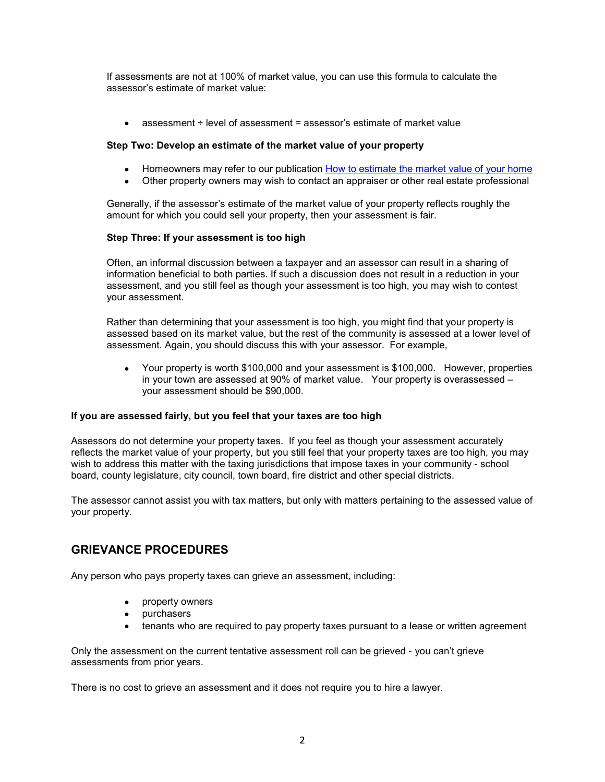If assessments are not at 100% of market value, you can use this formula to calculate the<br>assessor's estimate of market value:<br>• assessment ÷ level of assessment = assessor's estimate of market value assessor's estimate of market value:

assessment ÷ level of assessment = assessor's estimate of market value

### Step Two: Develop an estimate of the market value of your property

- Homeowners may refer to our publication How to estimate the market value of your home
- Other property owners may wish to contact an appraiser or other real estate professional  $\bullet$

Generally, if the assessor's estimate of the market value of your property reflects roughly the amount for which you could sell your property, then your assessment is fair.

### Step Three: If your assessment is too high

Often, an informal discussion between a taxpayer and an assessor can result in a sharing of information beneficial to both parties. If such a discussion does not result in a reduction in your assessment, and you still feel as though your assessment is too high, you may wish to contest your assessment.

Rather than determining that your assessment is too high, you might find that your property is assessed based on its market value, but the rest of the community is assessed at a lower level of assessment. Again, you should discuss this with your assessor. For example,

Your property is worth \$100,000 and your assessment is \$100,000. However, properties in your town are assessed at 90% of market value. Your property is overassessed – your assessment should be \$90,000.

### If you are assessed fairly, but you feel that your taxes are too high

Assessors do not determine your property taxes. If you feel as though your assessment accurately reflects the market value of your property, but you still feel that your property taxes are too high, you may when the taxing the taxing the taxing in the taxing in the taxing in the taxing in the taxing in the taxing in the taxing of informal discussion between a taxpayer and an assessor can result in a sharing of information ben board, county legislature, city council, town board, fire district and other special districts. Fyou are assessment anouat ce yout, on the current space of high<br>Assessors do not determine your property, but you feel as though your assessment accurately<br>reflects the market value of your property, but you still feel th

The assessor cannot assist you with tax matters, but only with matters pertaining to the assessed value of your property.

# GRIEVANCE PROCEDURES

Any person who pays property taxes can grieve an assessment, including:

- property owners
- purchasers
- tenants who are required to pay property taxes pursuant to a lease or written agreement

assessments from prior years.

There is no cost to grieve an assessment and it does not require you to hire a lawyer.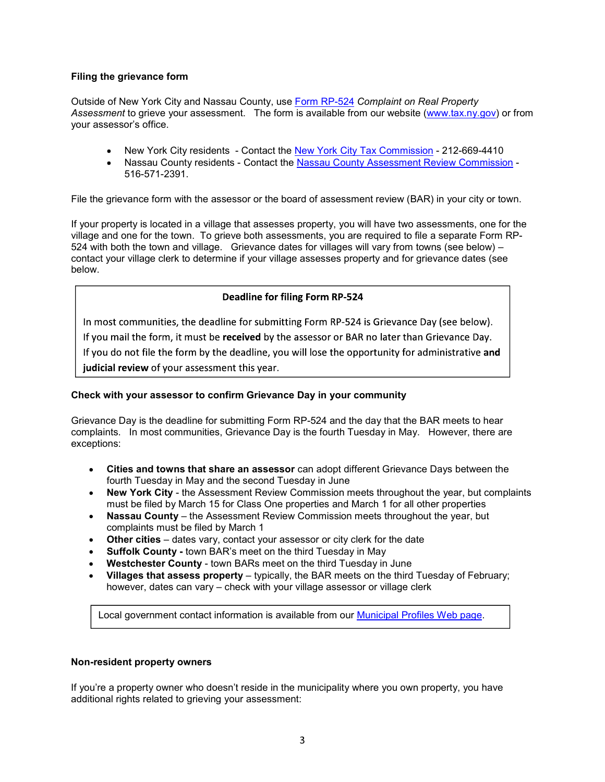### Filing the grievance form

Outside of New York City and Nassau County, use Form RP-524 Complaint on Real Property **Filing the grievance form**<br>
Outside of New York City and Nassau County, use <u>Form RP-524</u> C*omplaint on Real Property*<br>
Assessment to grieve your assessment. The form is available from our website (<u>www.tax.ny.gov</u>) or f your assessor's office. rievance form<br>New York City and Nassau County, use <u>Form RP-524</u> Complaint on Real Property<br>The View York City assessment. The form is available from our website (<u>www.tax.ny.gov</u>) or from<br>On's office.<br>New York City reside

- New York City residents Contact the New York City Tax Commission 212-669-4410
- 

Filing the grievance form<br>
Outside of New York City and Nassau County, use <u>Form RP-524</u> Complaint on Real Property<br>
Assessment to grieve your assessment. The form is available from our website (<u>www.tax.ny.gov</u>) or from<br> **If your property is located in a village that assesses property**<br> **If your assessment to grieve your assessment.** The form is available from our website (www.tax.ny.gov) or from<br>
your assessor's office.<br>
• New York City r village and one for the town. To grieve both assessments, you are required to file a separate Form RP-524 with both the town and village. Grievance dates for villages will vary from towns (see below) – contact your village clerk to determine if your village assesses property and for grievance dates (see below. • New York City residents - Contact the <u>New York City Tax Commission</u> - 212-669-4410<br>• Nassau Country residents - Contact the <u>Nassau Country Assessment Review Commission</u><br>516-571-2391.<br>File the grievance form with the a

Grievance Day is the deadline for submitting Form RP-524 and the day that the BAR meets to hear complaints. In most communities, Grievance Day is the fourth Tuesday in May. However, there are exceptions: nation thies, the deadline for submitting Form RP-524 is Grievance Day (see below).<br>
Imail the form, it must be received by the assessor r BAR no later than Grievance Day,<br>
id o not file the form by the deadline, you will icial review of your assessment this year.<br>
with your assessor to confirm Grievance Day in your community<br>
Ince Day is the deadline for submitting Form RP-524 and the day that the BAR meets to hear<br>
nints. In most communit

- Cities and towns that share an assessor can adopt different Grievance Days between the fourth Tuesday in May and the second Tuesday in June
- New York City the Assessment Review Commission meets throughout the year, but complaints must be filed by March 15 for Class One properties and March 1 for all other properties
- Nassau County the Assessment Review Commission meets throughout the year, but complaints must be filed by March 1
- Other cities dates vary, contact your assessor or city clerk for the date
- Suffolk County town BAR's meet on the third Tuesday in May
- Westchester County town BARs meet on the third Tuesday in June
- however, dates can vary check with your village assessor or village clerk

### Non-resident property owners

If you're a property owner who doesn't reside in the municipality where you own property, you have additional rights related to grieving your assessment: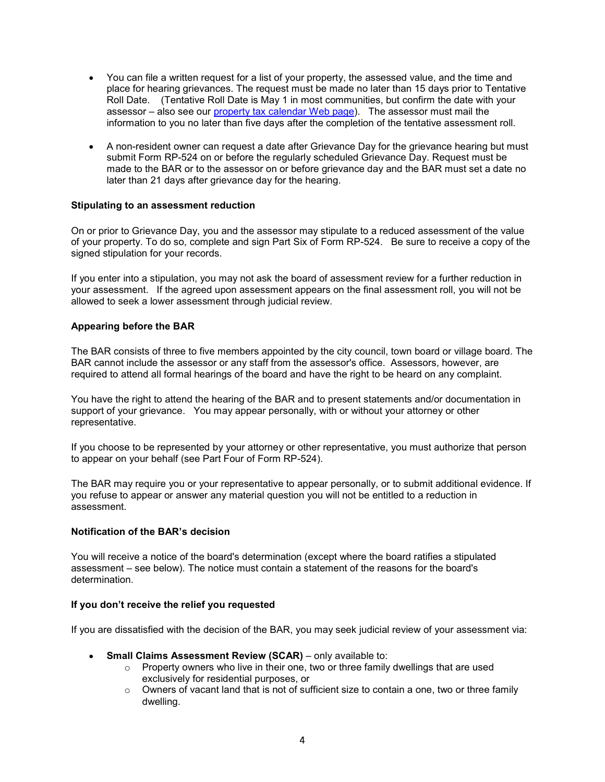- You can file a written request for a list of your property, the assessed value, and the time and place for hearing grievances. The request must be made no later than 15 days prior to Tentative Roll Date. (Tentative Roll Date is May 1 in most communities, but confirm the date with your You can file a written request for a list of your property, the assessed value, and the time and<br>place for hearing grievances. The request must be made no later than 15 days prior to Tentative<br>Roll Date. (Tentative Roll Da information to you no later than five days after the completion of the tentative assessment roll. You can file a written request for a list of your property, the assessed value, and the time and<br>place for hearing grievances. The request must be made no later than 15 days prior to Tentative<br>Roll Date. (Tentative Roll Da
- submit Form RP-524 on or before the regularly scheduled Grievance Day. Request must be made to the BAR or to the assessor on or before grievance day and the BAR must set a date no later than 21 days after grievance day for the hearing.

### Stipulating to an assessment reduction

On or prior to Grievance Day, you and the assessor may stipulate to a reduced assessment of the value of your property. To do so, complete and sign Part Six of Form RP-524. Be sure to receive a copy of the signed stipulation for your records.

If you enter into a stipulation, you may not ask the board of assessment review for a further reduction in your assessment. If the agreed upon assessment appears on the final assessment roll, you will not be allowed to seek a lower assessment through judicial review.

### Appearing before the BAR

The BAR consists of three to five members appointed by the city council, town board or village board. The BAR cannot include the assessor or any staff from the assessor's office. Assessors, however, are required to attend all formal hearings of the board and have the right to be heard on any complaint. Appearing before the BAR<br>The BAR consists of three to five members appointed by the city council, town board or village board. The<br>BAR cannot include the assessor or any staff from the assessor's office. Assessors, however

You have the right to attend the hearing of the BAR and to present statements and/or documentation in support of your grievance. You may appear personally, with or without your attorney or other representative.

If you choose to be represented by your attorney or other representative, you must authorize that person to appear on your behalf (see Part Four of Form RP-524).

The BAR may require you or your representative to appear personally, or to submit additional evidence. If you refuse to appear or answer any material question you will not be entitled to a reduction in assessment. e the right to attend the hearing of the BAR and to present statements and/or documentation in<br>of your grievance. You may appear personally, with or without your attomey or other<br>tattive.<br>noose to be represented by your at

#### Notification of the BAR's decision

You will receive a notice of the board's determination (except where the board ratifies a stipulated determination.

#### If you don't receive the relief you requested

If you are dissatisfied with the decision of the BAR, you may seek judicial review of your assessment via:

- - $\circ$  Property owners who live in their one, two or three family dwellings that are used exclusively for residential purposes, or
	- o Owners of vacant land that is not of sufficient size to contain a one, two or three family dwelling.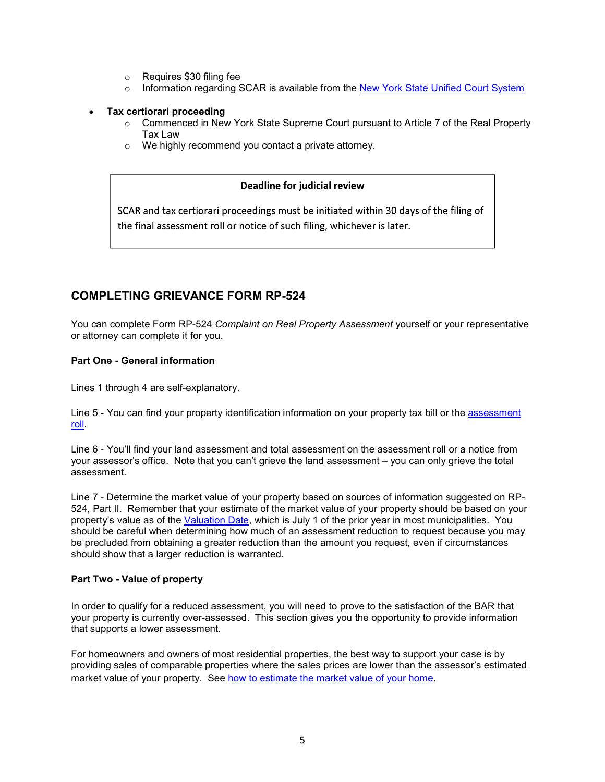- 
- $\circ$  Information regarding SCAR is available from the New York State Unified Court System

### Tax certiorari proceeding

- o<br>
Requires \$30 filing fee<br>
Information regarding SCAR is available from the <u>New York State Unified Court System</u><br>
ce**rtiorari proceeding**<br>
Commenced in New York State Supreme Court pursuant to Article 7 of the Real Prop  $\circ$  Commenced in New York State Supreme Court pursuant to Article 7 of the Real Property Tax Law
- o We highly recommend you contact a private attorney.

Tax Law<br>
So We highly recommend you contact a private attorney.<br>
Deadline for judicial review<br>
SCAR and tax certiorari proceedings must be initiated within 30 days of<br>
the final assessment roll or notice of such filing, wh

© Requires \$30 filing fee<br>
⇒ Information regarding SCAR is available from the <u>New York State Unified Court System</u><br>
Tax certiorari proceeding<br>
Comprended in New York State Supreme Court pursuant to Article 7 of the Real You can complete Form RP-524 Complaint on Real Property Assessment yourself or your representative or attorney can complete it for you.

### Part One - General information

Line 6 - You'll find your property identification information on your property assessment roll or notice of such filing, whichever is later.<br>
COMPLETING GRIEVANCE FORM RP-524<br>
You can complete form RP-524 Complaint on Rea <u>roll</u>.<br>Line 6 - You'll find your land assessment and total assessment on the assessment roll or a notice from assessment.

SCAR and tax certiorari proceedings must be initiated within 30 days of the filing of<br>the final assessment roll or notice of such filing, whichever is later.<br>
You can complete Form RP-524 Complaint on Real Property Assessm Line 7 - Determine the market value of your property based on sources of information suggested on RP-**COMPLETING GRIEVANCE FORM RP-524**<br>You can complete Form RP-524 *Complaint on Real Property Assessment* yourself or your representative<br>or attorney can complete it for you.<br>**Part One - General information**<br>Line 5 - You can **COMPLETING GRIEVANCE FORM RP-524**<br>You can complete Form RP-524 Complaint on Real Property Assessment yourself or your representative<br>or attomay can complete it for you.<br>**Part One - General information**<br>Line 5 - You can fi should be careful when determining how much of an assessment reduction to request because you may **COMPLETING GRIEVANCE FORM RP-524**<br>
You can complete Form RP-524 Complaint on Real Property Assessment yourself or your representative<br>
or attomey can complete it for you.<br>
Part One - General information<br>
Line 5 - You can should show that a larger reduction is warranted. Line 5 - You can find your property identification information on your property tax bill or the <u>assessment</u><br>Ingl.<br>Ingl.<br>The 6 - You'll find your land assessment and total assessment on the assessment roll or a notice from

#### Part Two - Value of property

In order to qualify for a reduced assessment, you will need to prove to the satisfaction of the BAR that your property is currently over-assessed. This section gives you the opportunity to provide information that supports a lower assessment.

For homeowners and owners of most residential properties, the best way to support your case is by market value of your property. See how to estimate the market value of your home.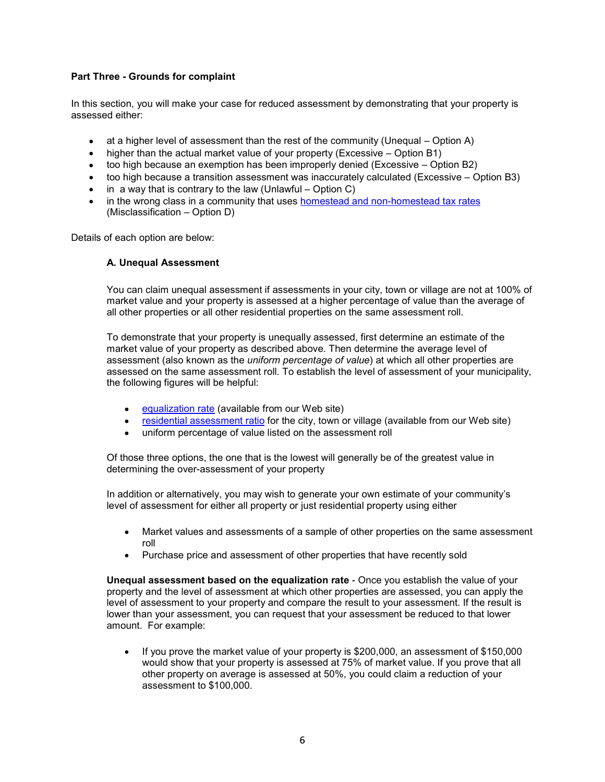Part Three - Grounds for complaint<br>
In this section, you will make your case for reduced assessment by demonstrating that<br>
assessed either:<br>
a set a bigber lovel of assessment than the rest of the community (Upoqual - Opti In this section, you will make your case for reduced assessment by demonstrating that your property is assessed either: ree - Grounds for complaint<br>action, you will make your case for reduced assessment by demonstrating that your property is<br>d either:<br>higher than the actual market value of your property (Excessive – Option A)<br>higher than th ree - Grounds for complaint<br>ection, you will make your case for reduced assessment by demonstrating that your property is<br>d either:<br>ta a higher level of assessment than the rest of the community (Unequal – Option A)<br>higher ree - Grounds for complaint<br>ection, you will make your case for reduced assessment by demonstrating that your property is<br>d either:<br>at a higher level of assessment than the rest of the community (Unequal – Option A)<br>higher ree - Grounds for complaint<br>ection, you will make your case for reduced assessment by demonstrating that your property is<br>d either:<br>at a higher level of assessment than the rest of the community (Unequal – Option A)<br>higher **ree - Grounds for complaint**<br>ection, you will make your case for reduced assessment by demonstrating that your property is<br>d either:<br>at a higher level of assessment than the rest of the community (Unequal – Option A)<br>high ree - Grounds for complaint<br>ection, you will make your case for reduced assessment by demonstrating that your property is<br>d either:<br>at a higher level of assessment than the rest of the community (Unequal – Option A)<br>higher

- 
- 
- 
- 
- 
- in the wrong class in a community that uses **homestead and non-homestead tax rates** (Misclassification Option D)

Details of each option are below:

#### A. Unequal Assessment

You can claim unequal assessment if assessments in your city, town or village are not at 100% of market value and your property is assessed at a higher percentage of value than the average of all other properties or all other residential properties on the same assessment roll.

To demonstrate that your property is unequally assessed, first determine an estimate of the market value of your property as described above. Then determine the average level of assessment (also known as the *uniform percentage of value*) at which all other properties are assessed on the same assessment roll. To establish the level of assessment of your municipality, the following figures will be helpful: because an exemption has been improperty denied (Excessive – Option B2)<br>because a transition assessment was inaccurately calculated (Excessive – Option B3)<br>y that is contrary to the law (Unlawful – Option C)<br>since inficat because a transition assessment was inaccurately calculated (Excessive – Option B3)<br>
the this contrary to the law (Unlawful – Option C)<br>
ong class in a community that uses <u>homestead and non-homestead tax rates</u><br>
sificatio **A. Unequal Assessment**<br>
You can claim unequal assessment if assessments in your city, town or village are not at 100% of<br>
market value and your property is assessed at a higher percentage of value than the average of<br>
al To demonstrate that your property is unequally assessed, first determine an estimate of the market value of your property as described above. Then determine the average of value of states are assessment (allso known as the

- equalization rate (available from our Web site)
- 
- 

Of those three options, the one that is the lowest will generally be of the greatest value in determining the over-assessment of your property

In addition or alternatively, you may wish to generate your own estimate of your community's

- Market values and assessments of a sample of other properties on the same assessment roll
- Purchase price and assessment of other properties that have recently sold

property and the level of assessment at which other properties are assessed, you can apply the level of assessment to your property and compare the result to your assessment. If the result is lower than your assessment, you can request that your assessment be reduced to that lower amount. For example:

If you prove the market value of your property is \$200,000, an assessment of \$150,000  $\bullet$ would show that your property is assessed at 75% of market value. If you prove that all other property on average is assessed at 50%, you could claim a reduction of your assessment to \$100,000.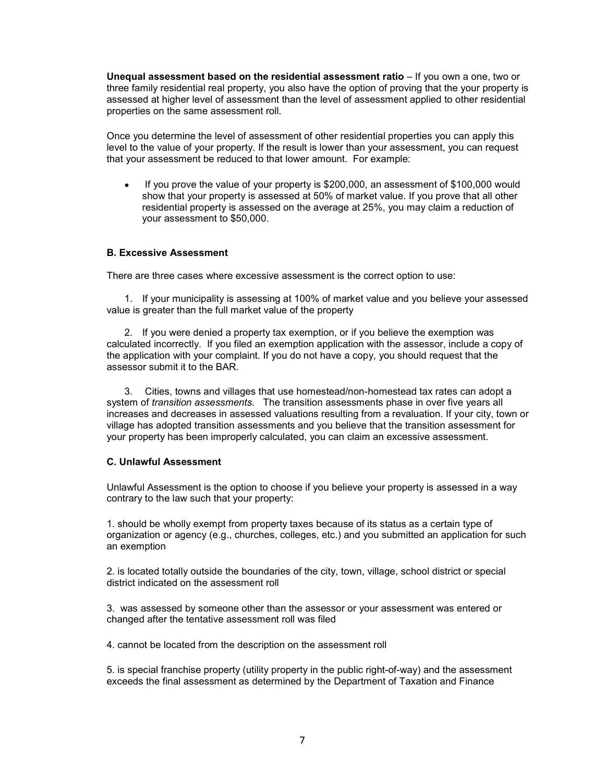**Unequal assessment based on the residential assessment ratio** – If you own a one, two or three family residential real property, you also have the option of proving that the your property is assessment applied to other r three family residential real property, you also have the option of proving that the your property is assessed at higher level of assessment than the level of assessment applied to other residential properties on the same assessment roll. **qual assessment based on the residential assessment ratio** – If you own a one, two or<br>
fe family residential real property, you also have the option of proving that the your property is<br>
sessed at higher level of assessme

Once you determine the level of assessment of other residential properties you can apply this level to the value of your property. If the result is lower than your assessment, you can request that your assessment be reduced to that lower amount. For example:

If you prove the value of your property is \$200,000, an assessment of \$100,000 would show that your property is assessed at 50% of market value. If you prove that all other residential property is assessed on the average at 25%, you may claim a reduction of your assessment to \$50,000.

#### B. Excessive Assessment

There are three cases where excessive assessment is the correct option to use:

value is greater than the full market value of the property

qual assessment thased on the residential assessment ratio – II you own a one, two or<br>elamily residential real property, you also have the option of proving that the your property is<br>sysed at higher level of assessment rol calculated incorrectly. If you filed an exemption application with the assessor, include a copy of the application with your complaint. If you do not have a copy, you should request that the assessor submit it to the BAR.

e you determine the level of assessment of other residential properties you can apply this<br>to the value of your property. If the result is lower than your assessment, you can request<br>your assessment be reduced to that lowe system of *transition assessments*. The transition assessments phase in over five years all increases and decreases in assessed valuations resulting from a revaluation. If your city, town or village has adopted transition assessments and you believe that the transition assessment for your property has been improperly calculated, you can claim an excessive assessment. **B. Excessive Assessment**<br>There are three cases where excessive assessment is the correct option to use:<br>1. If your municipality is assessing at 100% of market value and you believe your assessed<br>value is greater than the There are three cases where exassion at 500% of market value and you believe your assessed<br>value is greater than the full market value of the property<br>2. If you were denied a property tax exemption, or if you believe the e

#### C. Unlawful Assessment

contrary to the law such that your property:

1. should be wholly exempt from property taxes because of its status as a certain type of an exemption

2. is located totally outside the boundaries of the city, town, village, school district or special district indicated on the assessment roll

3. was assessed by someone other than the assessor or your assessment was entered or changed after the tentative assessment roll was filed

4. cannot be located from the description on the assessment roll

5. is special franchise property (utility property in the public right-of-way) and the assessment exceeds the final assessment as determined by the Department of Taxation and Finance